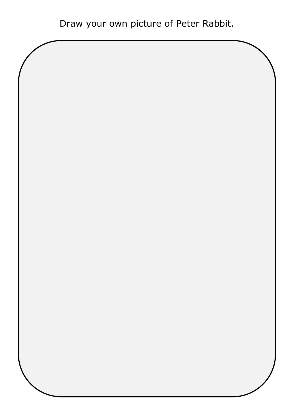Draw your own picture of Peter Rabbit.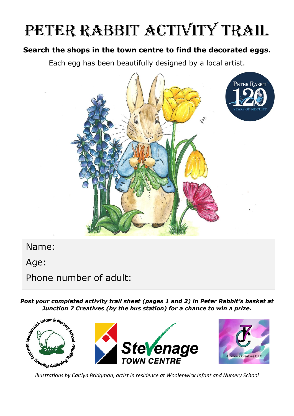## PETER RABBIT ACTIVITY TRAIL

## **Search the shops in the town centre to find the decorated eggs.**

Each egg has been beautifully designed by a local artist.



Name:

Age:

Phone number of adult:

*Post your completed activity trail sheet (pages 1 and 2) in Peter Rabbit's basket at Junction 7 Creatives (by the bus station) for a chance to win a prize.*

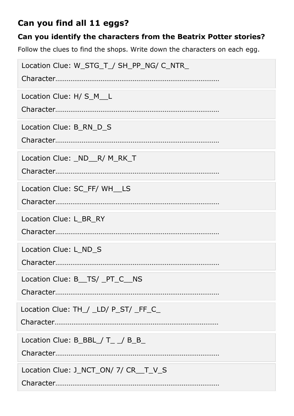## **Can you find all 11 eggs?**

## **Can you identify the characters from the Beatrix Potter stories?**

Follow the clues to find the shops. Write down the characters on each egg.

| Location Clue: W_STG_T_/ SH_PP_NG/ C_NTR_ |
|-------------------------------------------|
| Location Clue: H/ S_M__L                  |
| Location Clue: B RN D S                   |
| Location Clue: ND R/M_RK_T                |
| Location Clue: SC FF/ WH LS               |
| Location Clue: L_BR_RY                    |
| Location Clue: L_ND_S                     |
| Location Clue: B_TS/_PT_C_NS              |
| Location Clue: TH_/ _LD/ P_ST/ _FF_C_     |
| Location Clue: $B$ _BBL_/ T_ _/ B_B_      |
| Location Clue: J_NCT_ON/ 7/ CR__T_V_S     |